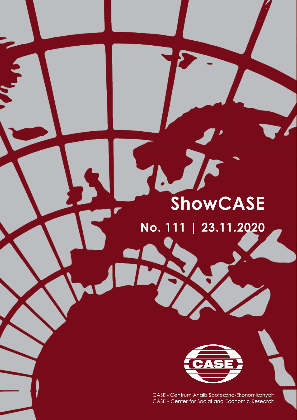# **ShowCASE**

**No. 111 | 23.11.2020**



CASE - Centrum Analiz Społeczno-Ekonomicznych CASE - Center for Social and Economic Research

ShowCASE No. 111 | 23.11.2020 www.case-research.eu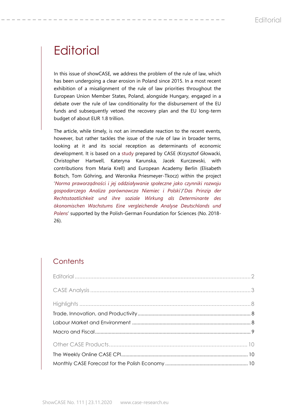# **Editorial**

In this issue of showCASE, we address the problem of the rule of law, which has been undergoing a clear erosion in Poland since 2015. In a most recent exhibition of a misalignment of the rule of law priorities throughout the European Union Member States, Poland, alongside Hungary, engaged in a debate over the rule of law conditionality for the disbursement of the EU funds and subsequently vetoed the recovery plan and the EU long-term budget of about EUR 1.8 trillion.

The article, while timely, is not an immediate reaction to the recent events, however, but rather tackles the issue of the rule of law in broader terms, looking at it and its social reception as determinants of economic development. It is based on a [study](https://www.case-research.eu/files/?id_plik=6580) prepared by CASE (Krzysztof Głowacki, Christopher Hartwell, Kateryna Karunska, Jacek Kurczewski, with contributions from Maria Krell) and European Academy Berlin (Elisabeth Botsch, Tom Göhring, and Weronika Priesmeyer-Tkocz) within the project '*[Norma praworządności i jej oddziaływanie społeczne jako czynniki rozwoju](https://case-research.eu/pl/the-rule-of-law-and-its-social-reception-as-determinants-of-economic-development-100918)  [gospodarczego Analiza porównawcza Niemiec i Polski'](https://case-research.eu/pl/the-rule-of-law-and-its-social-reception-as-determinants-of-economic-development-100918)*/'*[Das Prinzip der](https://www.eab-berlin.eu/en/project/das-prinzip-der-rechtsstaatlichkeit-und-ihre-soziale-wirkung-als-determinante-des)  [Rechtsstaatlichkeit und ihre soziale Wirkung als Determinante des](https://www.eab-berlin.eu/en/project/das-prinzip-der-rechtsstaatlichkeit-und-ihre-soziale-wirkung-als-determinante-des)  [ökonomischen Wachstums Eine vergleichende Analyse Deutschlands und](https://www.eab-berlin.eu/en/project/das-prinzip-der-rechtsstaatlichkeit-und-ihre-soziale-wirkung-als-determinante-des)  [Polens](https://www.eab-berlin.eu/en/project/das-prinzip-der-rechtsstaatlichkeit-und-ihre-soziale-wirkung-als-determinante-des)*' supported by the Polish-German Foundation for Sciences (No. 2018- 26).

# **Contents**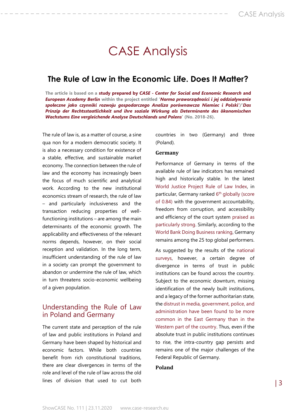# CASE Analysis

### **The Rule of Law in the Economic Life. Does It Matter?**

**The article is based on a study prepared by** *CASE - [Center for Social and Economic Research](https://www.case-research.eu/files/?id_plik=6580)* **and**  *[European Academy Berlin](https://www.case-research.eu/files/?id_plik=6580)* **within the project entitled '***[Norma praworządności i jej oddziaływanie](https://case-research.eu/pl/the-rule-of-law-and-its-social-reception-as-determinants-of-economic-development-100918)  [społeczne jako czynniki rozwoju gospodarczego Analiza porównawcza Niemiec i Polski'](https://case-research.eu/pl/the-rule-of-law-and-its-social-reception-as-determinants-of-economic-development-100918)***/'***[Das](https://www.eab-berlin.eu/en/project/das-prinzip-der-rechtsstaatlichkeit-und-ihre-soziale-wirkung-als-determinante-des)  [Prinzip der Rechtsstaatlichkeit und ihre soziale Wirkung als Determinante des ökonomischen](https://www.eab-berlin.eu/en/project/das-prinzip-der-rechtsstaatlichkeit-und-ihre-soziale-wirkung-als-determinante-des)  [Wachstums Eine vergleichende Analyse Deutschlands und Polens](https://www.eab-berlin.eu/en/project/das-prinzip-der-rechtsstaatlichkeit-und-ihre-soziale-wirkung-als-determinante-des)***' (No. 2018-26).**

The rule of law is, as a matter of course, a sine qua non for a modern democratic society. It is also a necessary condition for existence of a stable, effective, and sustainable market economy. The connection between the rule of law and the economy has increasingly been the focus of much scientific and analytical work. According to the new institutional economics stream of research, the rule of law – and particularly inclusiveness and the transaction reducing properties of wellfunctioning institutions – are among the main determinants of the economic growth. The applicability and effectiveness of the relevant norms depends, however, on their social reception and validation. In the long term, insufficient understanding of the rule of law in a society can prompt the government to abandon or undermine the rule of law, which in turn threatens socio-economic wellbeing of a given population.

#### Understanding the Rule of Law in Poland and Germany

The current state and perception of the rule of law and public institutions in Poland and Germany have been shaped by historical and economic factors. While both countries benefit from rich constitutional traditions, there are clear divergences in terms of the role and level of the rule of law across the old lines of division that used to cut both

countries in two (Germany) and three (Poland).

#### **Germany**

Performance of Germany in terms of the available rule of law indicators has remained high and historically stable. In the latest [World Justice Project Rule of Law Index,](https://worldjusticeproject.org/our-work/publications/rule-law-index-reports/wjp-rule-law-index-2020#:~:text=Featuring%20primary%20data%2C%20the%20WJP,Civil%20Justice%2C%20and%20Criminal%20Justice.) in particular, Germany ranked 6<sup>th</sup> globally (score [of 0.84\)](https://worldjusticeproject.org/our-work/publications/rule-law-index-reports/wjp-rule-law-index-2020#:~:text=Featuring%20primary%20data%2C%20the%20WJP,Civil%20Justice%2C%20and%20Criminal%20Justice.) with the government accountability, freedom from corruption, and accessibility and efficiency of the court system [praised as](https://worldjusticeproject.org/our-work/research-and-data/wjp-rule-law-index-2019/previous-editions-wjp-rule-law-index.)  [particularly strong.](https://worldjusticeproject.org/our-work/research-and-data/wjp-rule-law-index-2019/previous-editions-wjp-rule-law-index.) Similarly, according to the [World Bank Doing Business ranking,](https://www.doingbusiness.org/en/rankings) Germany remains among the 25 top global performers.

As suggested by the results of the national [surveys,](https://www.ifd-allensbach.de/fileadmin/kurzberichte_dokumentationen/FAZ_Januar2019_Ost_West.pdf) however, a certain degree of divergence in terms of trust in public institutions can be found across the country. Subject to the economic downturn, missing identification of the newly built institutions, and a legacy of the former authoritarian state, th[e distrust in media, government, police, and](https://www.ifd-allensbach.de/fileadmin/kurzberichte_dokumentationen/FAZ_Januar2019_Ost_West.pdf)  [administration have been found to be more](https://www.ifd-allensbach.de/fileadmin/kurzberichte_dokumentationen/FAZ_Januar2019_Ost_West.pdf)  [common in the East Germany than in the](https://www.ifd-allensbach.de/fileadmin/kurzberichte_dokumentationen/FAZ_Januar2019_Ost_West.pdf)  [Weste](https://www.ifd-allensbach.de/fileadmin/kurzberichte_dokumentationen/FAZ_Januar2019_Ost_West.pdf)rn part of the country. Thus, even if the absolute trust in public institutions continues to rise, the intra-country gap persists and remains one of the major challenges of the Federal Republic of Germany.

#### **Poland**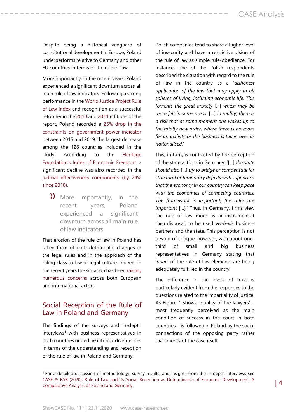Despite being a historical vanguard of constitutional development in Europe, Poland underperforms relative to Germany and other EU countries in terms of the rule of law.

More importantly, in the recent years, Poland experienced a significant downturn across all main rule of law indicators. Following a strong performance in th[e World Justice Project Rule](https://worldjusticeproject.org/our-work/research-and-data/wjp-rule-law-index-2019/previous-editions-wjp-rule-law-index.)  [of Law Index](https://worldjusticeproject.org/our-work/research-and-data/wjp-rule-law-index-2019/previous-editions-wjp-rule-law-index.) and recognition as a successful reformer in the [2010](https://worldjusticeproject.org/our-work/research-and-data/wjp-rule-law-index-2019/previous-editions-wjp-rule-law-index.) and [2011](https://worldjusticeproject.org/our-work/research-and-data/wjp-rule-law-index-2019/previous-editions-wjp-rule-law-index.) editions of the report, Poland recorded a [25% drop in the](https://worldjusticeproject.org/our-work/publications/rule-law-index-reports/wjp-rule-law-index-2019-insights)  [constraints on government power indicator](https://worldjusticeproject.org/our-work/publications/rule-law-index-reports/wjp-rule-law-index-2019-insights) between 2015 and 2019, the largest decrease among the 126 countries included in the study. According to the [Heritage](https://www.heritage.org/index/country/poland)  [Foundation's Index of Economic Freedom](https://www.heritage.org/index/country/poland), a significant decline was also recorded in the [judicial effectiveness components \(by 24%](https://www.heritage.org/index/visualize?cnts=poland&type=11) [since 2018\).](https://www.heritage.org/index/visualize?cnts=poland&type=11)

» More importantly, in the recent years, Poland experienced a significant downturn across all main rule of law indicators.

That erosion of the rule of law in Poland has taken form of both detrimental changes in the legal rules and in the approach of the ruling class to law or legal culture. Indeed, in the recent years the situation has been [raising](https://ec.europa.eu/commission/presscorner/detail/en/IP_16_2015)  [numerous concerns](https://ec.europa.eu/commission/presscorner/detail/en/IP_16_2015) across both European and international actors.

#### Social Reception of the Rule of Law in Poland and Germany

The findings of the surveys and in-depth interviews<sup>1</sup> with business representatives in both countries underline intrinsic divergences in terms of the understanding and reception of the rule of law in Poland and Germany.

Polish companies tend to share a higher level of insecurity and have a restrictive vision of the rule of law as simple rule-obedience. For instance, one of the Polish respondents described the situation with regard to the rule of law in the country as a '*dishonest application of the law that may apply in all spheres of living, including economic life. This foments the great anxiety* […] *which may be more felt in some areas.* […] *in reality, there is a risk that at some moment one wakes up to the totally new order, where there is no room for an activity or the business is taken over or nationalised.*'

This, in turn, is contrasted by the perception of the state actions in Germany: '[…] *the state should also* […] *try to bridge or compensate for structural or temporary deficits with support so that the economy in our country can keep pace with the economies of competing countries. The framework is important, the rules are important* […]*.'* Thus, in Germany, firms view the rule of law more as an instrument at their disposal, to be used *vis-à-vis* business partners and the state. This perception is not devoid of critique, however, with about onethird of small and big business representatives in Germany stating that '*none*' of the rule of law elements are being adequately fulfilled in the country.

The difference in the levels of trust is particularly evident from the responses to the questions related to the impartiality of justice. As Figure 1 shows, 'quality of the lawyers' – most frequently perceived as the main condition of success in the court in both countries – is followed in Poland by the social connections of the opposing party rather than merits of the case itself.

<sup>1</sup> For a detailed discussion of methodology, survey results, and insights from the in-depth interviews see [CASE & EAB \(2020\). Rule of Law and its Social Reception](https://www.case-research.eu/files/?id_plik=6580) as Determinants of Economic Development. A [Comparative Analysis of Poland and Germany.](https://www.case-research.eu/files/?id_plik=6580)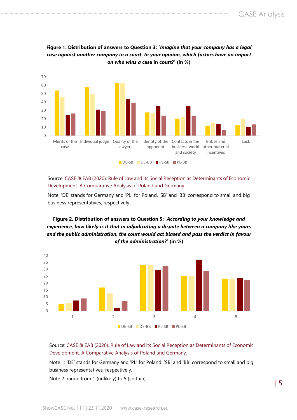



Source: [CASE & EAB \(2020\). Rule of Law and its Social Reception](https://www.case-research.eu/files/?id_plik=6580) as Determinants of Economic [Development. A Comparative Analysis of Poland and Germany.](https://www.case-research.eu/files/?id_plik=6580)

Note: 'DE' stands for Germany and 'PL' for Poland. 'SB' and 'BB' correspond to small and big business representatives, respectively.

#### **Figure 2. Distribution of answers to Question 5: '***According to your knowledge and experience, how likely is it that in adjudicating a dispute between a company like yours and the public administration, the court would act biased and pass the verdict in favour of the administration?***' (in %)**



Source[: CASE & EAB \(2020\). Rule of Law and its Social Reception](https://www.case-research.eu/files/?id_plik=6580) as Determinants of Economic [Development. A Comparative Analysis of Poland and Germany.](https://www.case-research.eu/files/?id_plik=6580)

Note 1: 'DE' stands for Germany and 'PL' for Poland. 'SB' and 'BB' correspond to small and big business representatives, respectively.

Note 2: range from 1 (unlikely) to 5 (certain).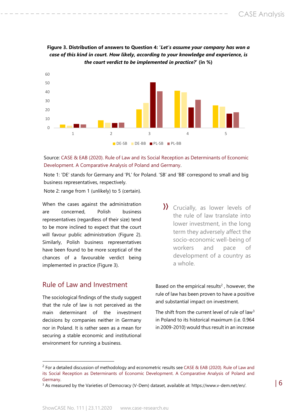

**Figure 3. Distribution of answers to Question 4: '***Let's assume your company has won a case of this kind in court. How likely, according to your knowledge and experience, is the court verdict to be implemented in practice?***' (in %)**

Source: [CASE & EAB \(2020\). Rule of Law and its Social Reception](https://www.case-research.eu/files/?id_plik=6580) as Determinants of Economic [Development. A Comparative Analysis of Poland and Germany.](https://www.case-research.eu/files/?id_plik=6580)

Note 1: 'DE' stands for Germany and 'PL' for Poland. 'SB' and 'BB' correspond to small and big business representatives, respectively.

Note 2: range from 1 (unlikely) to 5 (certain).

When the cases against the administration are concerned, Polish business representatives (regardless of their size) tend to be more inclined to expect that the court will favour public administration (Figure 2). Similarly, Polish business representatives have been found to be more sceptical of the chances of a favourable verdict being implemented in practice (Figure 3).

#### Rule of Law and Investment

The sociological findings of the study suggest that the rule of law is not perceived as the main determinant of the investment decisions by companies neither in Germany nor in Poland. It is rather seen as a mean for securing a stable economic and institutional environment for running a business.

» Crucially, as lower levels of the rule of law translate into lower investment, in the long term they adversely affect the socio-economic well-being of workers and pace of development of a country as a whole.

Based on the empirical results<sup>2</sup>, however, the rule of law has been proven to have a positive and substantial impact on investment.

The shift from the current level of rule of law<sup>3</sup> in Poland to its historical maximum (i.e. 0.964 in 2009-2010) would thus result in an increase

 $2$  For a detailed discussion of methodology and econometric results see CASE & EAB (2020). Rule of Law and [its Social Reception as Determinants of Economic Development. A Comparative Analysis of Poland and](https://www.case-research.eu/files/?id_plik=6580)  [Germany.](https://www.case-research.eu/files/?id_plik=6580)

 $3$  As measured by the Varieties of Democracy (V-Dem) dataset, available at: https://www.v-dem.net/en/.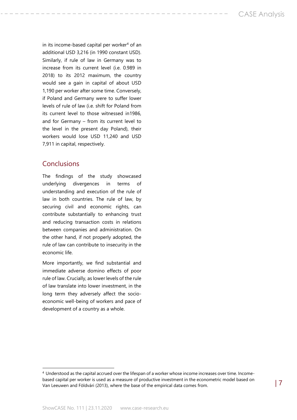in its income-based capital per worker $4$  of an additional USD 3,216 (in 1990 constant USD). Similarly, if rule of law in Germany was to increase from its current level (i.e. 0.989 in 2018) to its 2012 maximum, the country would see a gain in capital of about USD 1,190 per worker after some time. Conversely, if Poland and Germany were to suffer lower levels of rule of law (i.e. shift for Poland from its current level to those witnessed in1986, and for Germany – from its current level to the level in the present day Poland), their workers would lose USD 11,240 and USD 7,911 in capital, respectively.

### Conclusions

The findings of the study showcased underlying divergences in terms of understanding and execution of the rule of law in both countries. The rule of law, by securing civil and economic rights, can contribute substantially to enhancing trust and reducing transaction costs in relations between companies and administration. On the other hand, if not properly adopted, the rule of law can contribute to insecurity in the economic life.

More importantly, we find substantial and immediate adverse domino effects of poor rule of law. Crucially, as lower levels of the rule of law translate into lower investment, in the long term they adversely affect the socioeconomic well-being of workers and pace of development of a country as a whole.

<sup>4</sup> Understood as the capital accrued over the lifespan of a worker whose income increases over time. Incomebased capital per worker is used as a measure of productive investment in the econometric model based on Van Leeuwen and Földvári (2013), where the base of the empirical data comes from.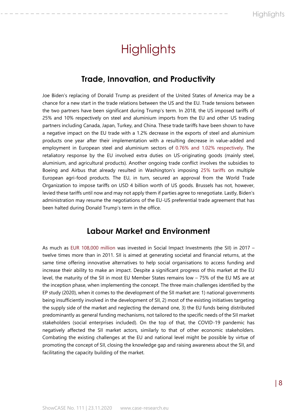# **Highlights**

## **Trade, Innovation, and Productivity**

<span id="page-7-2"></span><span id="page-7-1"></span><span id="page-7-0"></span>Joe Biden's replacing of Donald Trump as president of the United States of America may be a chance for a new start in the trade relations between the US and the EU. Trade tensions between the two partners have been significant during Trump's term. In 2018, the US imposed tariffs of 25% and 10% respectively on steel and aluminium imports from the EU and other US trading partners including Canada, Japan, Turkey, and China. These trade tariffs have been shown to have a negative impact on the EU trade with a 1.2% decrease in the exports of steel and aluminium products one year after their implementation with a resulting decrease in value-added and employment in European steel and aluminium sectors of [0.76% and 1.02% respectively.](https://doi.org/10.2760/387494) The retaliatory response by the EU involved extra duties on US-originating goods (mainly steel, aluminium, and agricultural products). Another ongoing trade conflict involves the subsidies to Boeing and Airbus that already resulted in Washington's imposing [25% tariffs](https://ustr.gov/sites/default/files/enforcement/301Investigations/Notice_of_Determination_and_Action_Pursuant_to_Section_301-Large_Civil_Aircraft_Dispute.pdf) on multiple European agri-food products. The EU, in turn, secured an approval from the World Trade Organization to impose tariffs on USD 4 billion worth of US goods. Brussels has not, however, levied these tariffs until now and may not apply them if parties agree to renegotiate. Lastly, Biden's administration may resume the negotiations of the EU-US preferential trade agreement that has been halted during Donald Trump's term in the office.

### **Labour Market and Environment**

<span id="page-7-3"></span>As much as [EUR 108,000 million](https://www.europarl.europa.eu/RegData/etudes/STUD/2020/658185/IPOL_STU(2020)658185_EN.pdf) was invested in Social Impact Investments (the SII) in 2017 – twelve times more than in 2011. SII is aimed at generating societal and financial returns, at the same time offering innovative alternatives to help social organisations to access funding and increase their ability to make an impact. Despite a significant progress of this market at the EU level, the maturity of the SII in most EU Member States remains low – 75% of the EU MS are at the inception phase, when implementing the concept. The three main challenges identified by the EP study (2020), when it comes to the development of the SII market are: 1) national governments being insufficiently involved in the development of SII, 2) most of the existing initiatives targeting the supply side of the market and neglecting the demand one, 3) the EU funds being distributed predominantly as general funding mechanisms, not tailored to the specific needs of the SII market stakeholders (social enterprises included). On the top of that, the COVID-19 pandemic has negatively affected the SII market actors, similarly to that of other economic stakeholders. Combating the existing challenges at the EU and national level might be possible by virtue of promoting the concept of SII, closing the knowledge gap and raising awareness about the SII, and facilitating the capacity building of the market.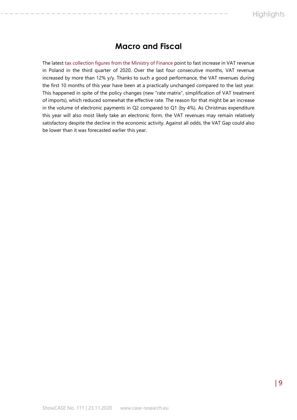## **Macro and Fiscal**

The latest [tax collection figures from the Ministry of Finance](https://www.gov.pl/web/finanse/szacunek-2020) point to fast increase in VAT revenue in Poland in the third quarter of 2020. Over the last four consecutive months, VAT revenue increased by more than 12% y/y. Thanks to such a good performance, the VAT revenues during the first 10 months of this year have been at a practically unchanged compared to the last year. This happened in spite of the policy changes (new "rate matrix", simplification of VAT treatment of imports), which reduced somewhat the effective rate. The reason for that might be an increase in the volume of electronic payments in Q2 compared to Q1 (by 4%). As Christmas expenditure this year will also most likely take an electronic form, the VAT revenues may remain relatively satisfactory despite the decline in the economic activity. Against all odds, the VAT Gap could also be lower than it was forecasted earlier this year.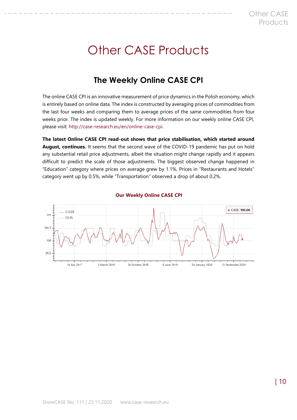# <span id="page-9-0"></span>Other CASE Products

# **The Weekly Online CASE CPI**

<span id="page-9-1"></span>The online CASE CPI is an innovative measurement of price dynamics in the Polish economy, which is entirely based on online data. The index is constructed by averaging prices of commodities from the last four weeks and comparing them to average prices of the same commodities from four weeks prior. The index is updated weekly. For more information on our weekly online CASE CPI, please visit: [http://case-research.eu/en/online-case-cpi.](http://case-research.eu/en/online-case-cpi)

**The latest Online CASE CPI read-out shows that price stabilisation, which started around August, continues.** It seems that the second wave of the COVID-19 pandemic has put on hold any substantial retail price adjustments, albeit the situation might change rapidly and it appears difficult to predict the scale of those adjustments. The biggest observed change happened in "Education" category where prices on average grew by 1.1%. Prices in "Restaurants and Hotels" category went up by 0.5%, while "Transportation" observed a drop of about 0.2%.

<span id="page-9-2"></span>